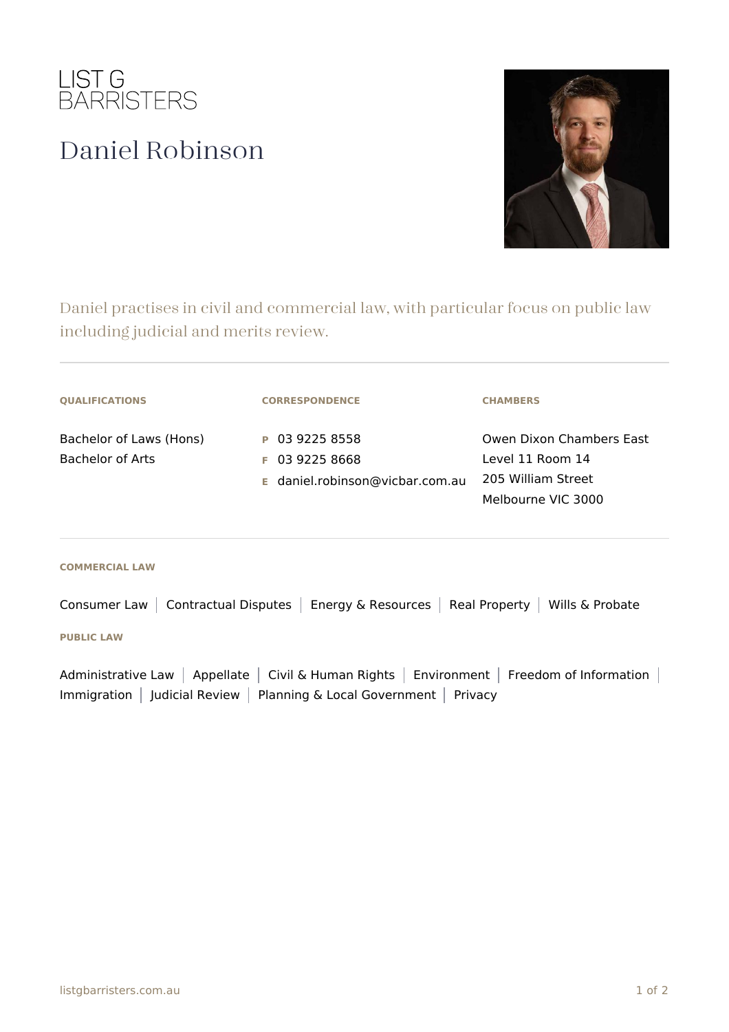

## Daniel Robinson



Daniel practises in civil and commercial law, with particular focus on public law including judicial and merits review.

| <b>QUALIFICATIONS</b>                       | <b>CORRESPONDENCE</b>                                                 | <b>CHAMBERS</b>                                                                          |
|---------------------------------------------|-----------------------------------------------------------------------|------------------------------------------------------------------------------------------|
| Bachelor of Laws (Hons)<br>Bachelor of Arts | P 03 9225 8558<br>$F$ 03 9225 8668<br>E daniel.robinson@vicbar.com.au | Owen Dixon Chambers East<br>Level 11 Room 14<br>205 William Street<br>Melbourne VIC 3000 |

## **COMMERCIAL LAW**

Consumer Law | Contractual Disputes | Energy & Resources | Real Property | Wills & Probate

## **PUBLIC LAW**

Administrative Law | Appellate | Civil & Human Rights | Environment | Freedom of Information | Immigration | Judicial Review | Planning & Local Government | Privacy